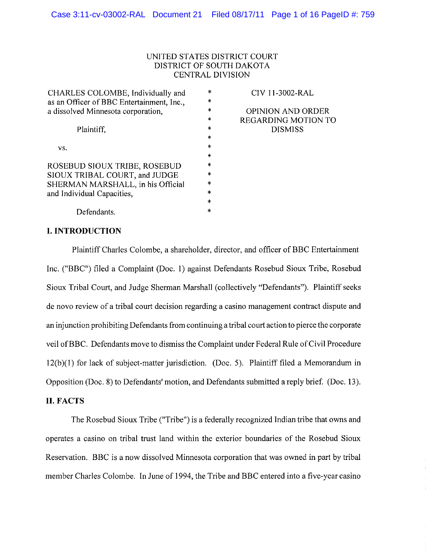### UNITED STATES DISTRICT COURT DISTRICT OF SOUTH DAKOTA CENTRAL DIVISION

CHARLES COLOMBE, Individually and as an Officer of BBC Entertainment, Inc., a dissolved Minnesota corporation, Plaintiff, vs. ROSEBUD SIOUX TRIBE, ROSEBUD SIOUX TRIBAL COURT, and JUDGE SHERMAN MARSHALL, in his Official and Individual Capacities, \* \* \* \* \* \* \* \* \* \* \* \* \* \*

CIV I I-3002-RAL

OPINION AND ORDER REGARDING MOTION TO DISMISS

# **I. INTRODUCTION**

Defendants.

Plaintiff Charles Colombe, a shareholder, director, and officer of BBC Entertainment Inc. ("BBC") filed a Complaint (Doc. 1) against Defendants Rosebud Sioux Tribe, Rosebud Sioux Tribal Court, and Judge Sherman Marshall (collectively "Defendants"). Plaintiff seeks de novo review of a tribal court decision regarding a casino management contract dispute and an injunction prohibiting Defendants from continuing a tribal court action to pierce the corporate veil of BBC. Defendants move to dismiss the Complaint under Federal Rule of Civil Procedure 12(b)(I) for lack of subject-matter jurisdiction. (Doc. 5). Plaintiff filed a Memorandum in Opposition (Doc. 8) to Defendants' motion, and Defendants submitted a reply brief. (Doc. 13).

## **II. FACTS**

The Rosebud Sioux Tribe ("Tribe") is a federally recognized Indian tribe that owns and operates a casino on tribal trust land within the exterior boundaries of the Rosebud Sioux Reservation. BBC is a now dissolved Minnesota corporation that was owned in part by tribal member Charles Colombe. In June of 1994, the Tribe and BBC entered into a five-year casino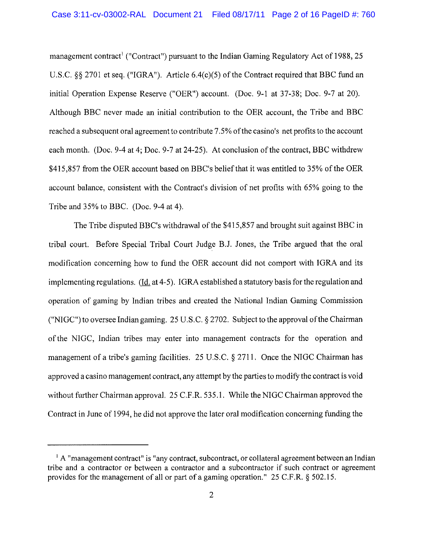management contract<sup>1</sup> ("Contract") pursuant to the Indian Gaming Regulatory Act of 1988, 25 U.S.C. §§ 2701 et seq. ("IGRA"). Article  $6.4(c)(5)$  of the Contract required that BBC fund an initial Operation Expense Reserve ("OER") account. (Doc. 9-1 at 37-38; Doc. 9-7 at 20). Although BBC never made an initial contribution to the OER account, the Tribe and BBC reached a subsequent oral agreement to contribute 7.5% of the casino's net profits to the account each month. (Doc. 9-4 at 4; Doc. 9-7 at 24-25). At conclusion of the contract, BBC withdrew \$415,857 from the OER account based on BBC's belief that it was entitled to 35% of the OER account balance, consistent with the Contract's division of net profits with 65% going to the Tribe and 35% to BBC. (Doc. 9-4 at 4).

The Tribe disputed BBC's withdrawal of the \$415,857 and brought suit against BBC in tribal court. Before Special Tribal Court Judge BJ. Jones, the Tribe argued that the oral modification concerning how to fund the OER account did not comport with IGRA and its implementing regulations. (Id. at 4-5). IGRA established a statutory basis for the regulation and operation of gaming by Indian tribes and created the National Indian Gaming Commission ("NIGC") to oversee Indian gaming. 25 U.S.C.  $\S 2702$ . Subject to the approval of the Chairman ofthe NIGC, Indian tribes may enter into management contracts for the operation and management of a tribe's gaming facilities. 25 U.S.C. § 2711. Once the NIGC Chairman has approved a casino management contract, any attempt by the parties to modify the contract is void without further Chairman approval. 25 C.F.R. 535.1. While the NIGC Chairman approved the Contract in June of 1994, he did not approve the later oral modification concerning funding the

 $\pm$  A "management contract" is "any contract, subcontract, or collateral agreement between an Indian tribe and a contractor or between a contractor and a subcontractor if such contract or agreement provides for the management of all or part of a gaming operation." 25 C.F.R. § 502.15.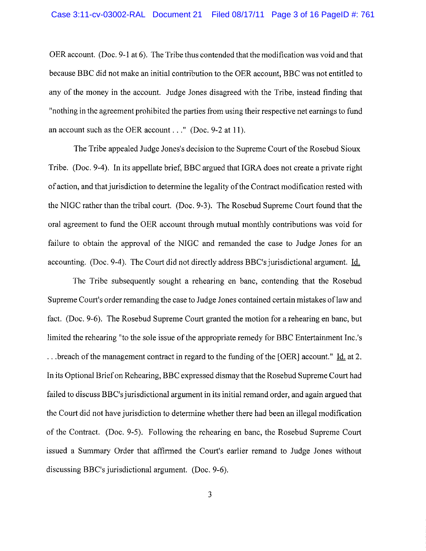OER account. (Doc. 9-1 at 6). The Tribe thus contended that the modification was void and that because BBC did not make an initial contribution to the OER account, BBC was not entitled to any of the money in the account. Judge Jones disagreed with the Tribe, instead finding that "nothing in the agreement prohibited the parties from using their respective net earnings to fund an account such as the OER account ..." (Doc. 9-2 at **II).**

The Tribe appealed Judge Jones's decision to the Supreme Court of the Rosebud Sioux Tribe. (Doc. 9-4). In its appellate brief, BBC argued that IGRA does not create a private right of action, and that jurisdiction to determine the legality of the Contract modification rested with the NIGC rather than the tribal court. (Doc. 9-3). The Rosebud Supreme Court found that the oral agreement to fund the OER account through mutual monthly contributions was void for failure to obtain the approval of the NIGC and remanded the case to Judge Jones for an accounting. (Doc. 9-4). The Court did not directly address BBC's jurisdictional argument. Id.

The Tribe subsequently sought a rehearing en bane, contending that the Rosebud Supreme Court's order remanding the case to Judge Jones contained certain mistakes of law and fact. (Doc. 9-6). The Rosebud Supreme Court granted the motion for a rehearing en bane, but limited the rehearing "to the sole issue of the appropriate remedy for BBC Entertainment Inc.'s ...breach of the management contract in regard to the funding of the [OER] account." Id. at 2. In its Optional Brief on Rehearing, BBC expressed dismay that the Rosebud Supreme Court had failed to discuss BBC's jurisdictional argument in its initial remand order, and again argued that the Court did not have jurisdiction to determine whether there had been an illegal modification of the Contract. (Doc. 9-5). Following the rehearing en bane, the Rosebud Supreme Court issued a Summary Order that affirmed the Court's earlier remand to Judge Jones without discussing BBC's jurisdictional argument. (Doc. 9-6).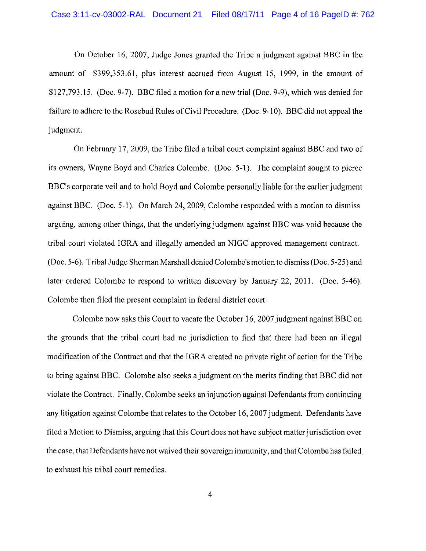On October 16, 2007, Judge Jones granted the Tribe a judgment against BBC in the amount of \$399,353.61, plus interest accrued from August 15, 1999, in the amount of \$127,793. I5. (Doc. 9-7). BBC filed a motion for a new trial (Doc. 9-9), which was denied for failure to adhere to the Rosebud Rules of Civil Procedure. (Doc. 9-10). BBC did not appeal the judgment.

On February 17,2009, the Tribe filed a tribal court complaint against BBC and two of its owners, Wayne Boyd and Charles Colombe. (Doc. 5-1). The complaint sought to pierce BBC's corporate veil and to hold Boyd and Colombe personally liable for the earlier judgment against BBC. (Doc. 5-I). On March 24, 2009, Colombe responded with a motion to dismiss arguing, among other things, that the underlying judgment against BBC was void because the tribal court violated lORA and illegally amended an NIOC approved management contract. (Doc. 5-6). Tribal Judge Sherman Marshall denied Colombe's motion to dismiss (Doc. 5-25) and later ordered Colombe to respond to written discovery by January 22, 2011. (Doc. 5-46). Colombe then filed the present complaint in federal district court.

Colombe now asks this Court to vacate the October 16, 2007 judgment against BBC on the grounds that the tribal court had no jurisdiction to find that there had been an illegal modification of the Contract and that the IGRA created no private right of action for the Tribe to bring against BBC. Colombe also seeks a judgment on the merits finding that BBC did not violate the Contract. Finally, Colombe seeks an injunction against Defendants from continuing any litigation against Colombe that relates to the October 16, 2007 judgment. Defendants have filed a Motion to Dismiss, arguing that this Court does not have subject matter jurisdiction over the case, that Defendants have not waived their sovereign immunity, and that Colombe has failed to exhaust his tribal court remedies.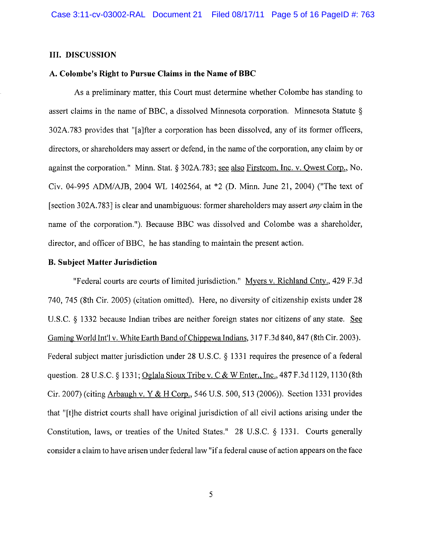### **III. DISCUSSION**

## **A. Colombe's Right to Pursue Claims in the Name ofBBC**

As a preliminary matter, this Court must determine whether Colombe has standing to assert claims in the name of BBC, a dissolved Minnesota corporation. Minnesota Statute § 302A.783 provides that "[a]fter a corporation has been dissolved, any of its former officers, directors, or shareholders may assert or defend, in the name of the corporation, any claim by or against the corporation." Minn. Stat. § 302A.783; see also Firstcom, Inc. v. Owest Corp., No. Civ. 04-995 ADM/AJB, 2004 WL 1402564, at \*2 (D. Minn. June 21, 2004) ("The text of [section 302A.783] is clear and unambiguous: former shareholders may assert *any* claim in the name of the corporation. "). Because BBC was dissolved and Colombe was a shareholder, director, and officer of BBC, he has standing to maintain the present action.

#### **B. Subject Matter Jurisdiction**

"Federal courts are courts of limited jurisdiction." Myers v. Richland Cnty., 429 F.3d 740,745 (8th Cir. 2005) (citation omitted). Here, no diversity of citizenship exists under 28 U.S.C. § 1332 because Indian tribes are neither foreign states nor citizens of any state. See Gaming World Int'l v. White Earth Band of Chippewa Indians, 317 F.3d 840, 847 (8th Cir. 2003). Federal subject matter jurisdiction under 28 U.S.C. § 1331 requires the presence of a federal question. 28 U.S.C. § 1331; Oglala Sioux Tribe v. C & W Enter., Inc., 487 F.3d 1129, 1130 (8th Cir. 2007) (citing Arbaugh v. Y & H Corp., 546 U.S. 500, 513 (2006)). Section 1331 provides that "[t]he district courts shall have original jurisdiction of all civil actions arising under the Constitution, laws, or treaties of the United States." 28 U.S.C. § 1331. Courts generally consider a claim to have arisen under federal law "ifa federal cause of action appears on the face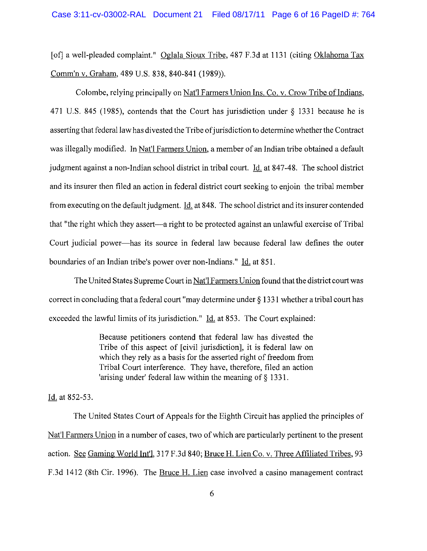[of] a well-pleaded complaint." Oglala Sioux Tribe, 487 F.3d at 1131 (citing Oklahoma Tax Comm'n v. Graham, 489 U.S. 838, 840-841 (1989)).

Colombe, relying principally on Nat'l Farmers Union Ins. Co. v. Crow Tribe of Indians, 471 U.S. 845 (1985), contends that the Court has jurisdiction under § 1331 because he is asserting that federal law has divested the Tribe of jurisdiction to determine whether the Contract was illegally modified. In Nat'l Farmers Union, a member of an Indian tribe obtained a default judgment against a non-Indian school district in tribal court. Id. at 847-48. The school district and its insurer then filed an action in federal district court seeking to enjoin the tribal member from executing on the default judgment. Id. at 848. The school district and its insurer contended that "the right which they assert-a right to be protected against an unlawful exercise of Tribal Court judicial power-has its source in federal law because federal law defines the outer boundaries of an Indian tribe's power over non-Indians." Id. at 851.

The United States Supreme Court in Nat'l Farmers Union found that the district court was correct in concluding that a federal court "may determine under § 1331 whether a tribal court has exceeded the lawful limits of its jurisdiction." Id. at 853. The Court explained:

> Because petitioners contend that federal law has divested the Tribe of this aspect of [civil jurisdiction], it is federal law on which they rely as a basis for the asserted right of freedom from Tribal Court interference. They have, therefore, filed an action 'arising under' federal law within the meaning of § 1331.

Id. at 852-53.

The United States Court of Appeals for the Eighth Circuit has applied the principles of Nat'l Farmers Union in a number of cases, two of which are particularly pertinent to the present action. See Gaming World Int'l, 317 F.3d 840; Bruce H. Lien Co. v. Three Affiliated Tribes, 93 F.3d 1412 (8th Cir. 1996). The Bruce H. Lien case involved a casino management contract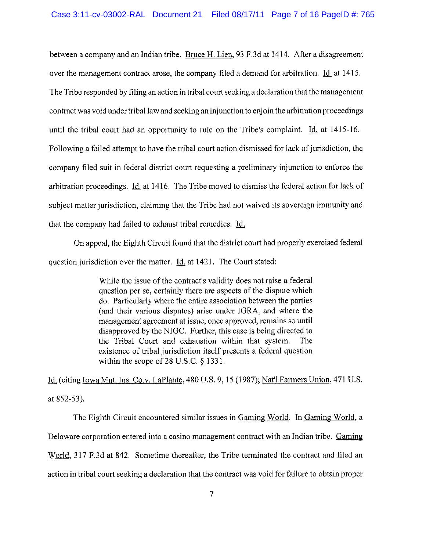between a company and an Indian tribe. Bruce H. Lien, 93 F.3d at 1414. After a disagreement over the management contract arose, the company filed a demand for arbitration. Id. at 1415. The Tribe responded by filing an action in tribal court seeking a declaration that the management contract was void under tribal law and seeking an injunction to enjoin the arbitration proceedings until the tribal court had an opportunity to rule on the Tribe's complaint. Id. at 1415-I6. Following a failed attempt to have the tribal court action dismissed for lack of jurisdiction, the company filed suit in federal district court requesting a preliminary injunction to enforce the arbitration proceedings. Id. at 14I6. The Tribe moved to dismiss the federal action for lack of subject matter jurisdiction, claiming that the Tribe had not waived its sovereign immunity and that the company had failed to exhaust tribal remedies. Id.

On appeal, the Eighth Circuit found that the district court had properly exercised federal question jurisdiction over the matter. Id. at 142I. The Court stated:

> While the issue of the contract's validity does not raise a federal question per se, certainly there are aspects of the dispute which do. Particularly where the entire association between the parties (and their various disputes) arise under IGRA, and where the management agreement at issue, once approved, remains so until disapproved by the NIGC. Further, this case is being directed to the Tribal Court and exhaustion within that system. The existence of tribal jurisdiction itself presents a federal question within the scope of 28 U.S.C. § 1331.

Id. (citing Iowa Mut. Ins. Co.v. LaPlante, 480 U.S. 9,15 (1987); Nat'l Farmers Union, 471 U.S. at 852-53).

The Eighth Circuit encountered similar issues in Gaming World. In Gaming World, a Delaware corporation entered into a casino management contract with an Indian tribe. Gaming World, 317 F.3d at 842. Sometime thereafter, the Tribe terminated the contract and filed an action in tribal court seeking a declaration that the contract was void for failure to obtain proper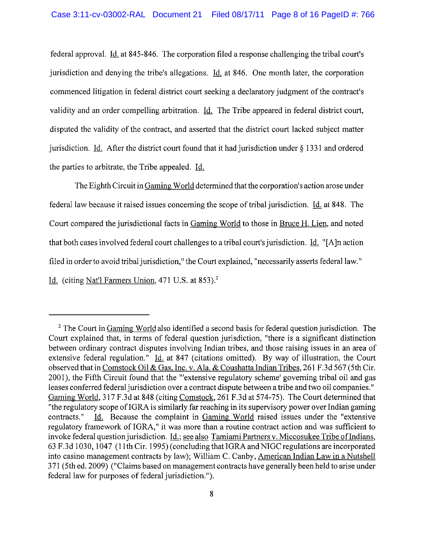federal approval. Id. at 845-846. The corporation filed a response challenging the tribal court's jurisdiction and denying the tribe's allegations. Id. at 846. One month later, the corporation commenced litigation in federal district court seeking a declaratory judgment of the contract's validity and an order compelling arbitration. Id. The Tribe appeared in federal district court, disputed the validity of the contract, and asserted that the district court lacked subject matter jurisdiction. Id. After the district court found that it had jurisdiction under § 1331 and ordered the parties to arbitrate, the Tribe appealed. Id.

The EighthCircuit in Gaming World determined that the corporation's action arose under federal law because it raised issues concerning the scope of tribal jurisdiction. Id. at 848. The Court compared the jurisdictional facts in Gaming World to those in Bruce H. Lien, and noted that both cases involved federal court challenges to a tribal court's jurisdiction. Id. "[A]n action filed in order to avoid tribal jurisdiction," the Court explained, "necessarily asserts federal law." Id. (citing Nat'l Farmers Union,  $471$  U.S. at  $853$ ).<sup>2</sup>

<sup>&</sup>lt;sup>2</sup> The Court in Gaming World also identified a second basis for federal question jurisdiction. The Court explained that, in terms of federal question jurisdiction, "there is a significant distinction between ordinary contract disputes involving Indian tribes, and those raising issues in an area of extensive federal regulation." Id. at 847 (citations omitted). By way of illustration, the Court observed that in Comstock Oil & Gas, Inc. v. Ala. & Coushatta Indian Tribes, 261 F.3d 567 (5th Cir. 200 I), the Fifth Circuit found that the "'extensive regulatory scheme' governing tribal oil and gas leases conferred federal jurisdiction over a contract dispute between a tribe and two oil companies." Gaming World, 317 F.3d at 848 (citing Comstock, 261 F.3d at 574-75). The Court determined that "the regulatory scope of IGRA is similarly far reaching in its supervisory power over Indian gaming contracts." Id. Because the complaint in Gaming World raised issues under the "extensive regulatory framework of IGRA," it was more than a routine contract action and was sufficient to invoke federal question jurisdiction. Id.; see also Tamiami Partners v. Miccosukee Tribe ofindians, 63 F.3d 1030, 1047 (11th Cir. I995)(concluding that IGRA and NIGC regulations are incorporated into casino management contracts by law); William C. Canby, American Indian Law in a Nutshell 371 (5th ed. 2009) ("Claims based on management contracts have generally been held to arise under federal law for purposes of federal jurisdiction. ").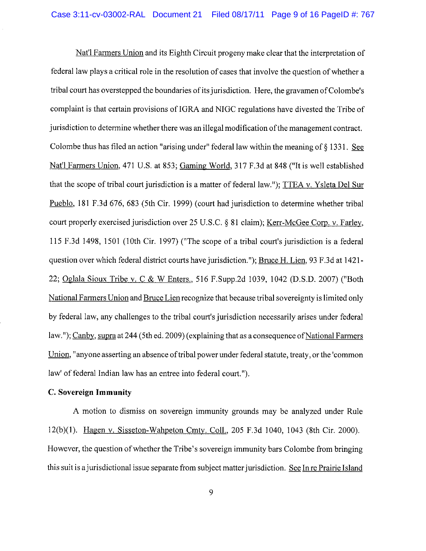Nat'l Farmers Union and its Eighth Circuit progeny make clear that the interpretation of federal law plays a critical role in the resolution of cases that involve the question of whether a tribal court has overstepped the boundaries of its jurisdiction. Here, the gravamen of Colombe's complaint is that certain provisions of IGRA and NIGC regulations have divested the Tribe of jurisdiction to determine whether there was an illegal modification of the management contract. Colombe thus has filed an action "arising under" federal law within the meaning of  $\S$  1331. See Nat'l Farmers Union, 471 U.S. at 853; Gaming World, 317 F.3d at 848 ("It is well established that the scope of tribal court jurisdiction is a matter of federal law."); TTEA v. Ysleta Del Sur Pueblo, 181 F.3d 676, 683 (5th Cir. 1999) (court had jurisdiction to determine whether tribal court properly exercised jurisdiction over 25 U.S.C. § 81 claim); Kerr-McGee Com. v. Farley, 115 F.3d 1498, 1501 (10th Cir. 1997) ("The scope of a tribal court's jurisdiction is a federal question over which federal district courts have jurisdiction."); Bruce H. Lien, 93 F.3d at 1421-22; Oglala Sioux Tribe v. C & W Enters., 516 F.Supp.2d 1039, 1042 (D.S.D. 2007) ("Both National Farmers Union and Bruce Lien recognize that because tribal sovereignty is limited only by federal law, any challenges to the tribal court's jurisdiction necessarily arises under federal law."); Canby, supra at 244 (5th ed. 2009) (explaining that as a consequence of National Farmers Union, "anyone asserting an absence of tribal power under federal statute, treaty, or the 'common law' of federal Indian law has an entree into federal court.").

## **C. Sovereign Immunity**

A motion to dismiss on sovereign immunity grounds may be analyzed under Rule 12(b)(I). Hagen v. Sisseton-Wahpeton Cmty. ColI., 205 F.3d 1040, 1043 (8th Cir. 2000). However, the question of whether the Tribe's sovereign immunity bars Colombe from bringing this suit is a jurisdictional issue separate from subject matter jurisdiction. See In re Prairie Island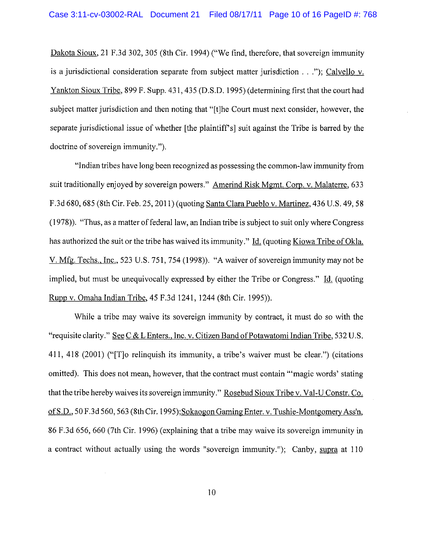Dakota Sioux, 21 F.3d 302, 305 (8th Cir. 1994) ("We find, therefore, that sovereign immunity is <sup>a</sup> jurisdictional consideration separate from subject matter jurisdiction ..."); Calvello v. Yankton Sioux Tribe, 899 F. Supp. 431, 435 (D.S.D. 1995) (determining first that the court had subject matter jurisdiction and then noting that "[t]he Court must next consider, however, the separate jurisdictional issue of whether [the plaintiff's] suit against the Tribe is barred by the doctrine of sovereign immunity.").

"Indian tribes have long been recognized as possessing the common-law immunity from suit traditionally enjoyed by sovereign powers." Amerind Risk Mgmt. Corp. v. Malaterre, 633 F.3d 680, 685 (8th Cir. Feb. 25, 2011) (quoting Santa Clara Pueblo v. Martinez, 436 U.S. 49, 58  $(1978)$ . "Thus, as a matter of federal law, an Indian tribe is subject to suit only where Congress has authorized the suit or the tribe has waived its immunity." Id. (quoting Kiowa Tribe of Okla. V. Mfg. Techs., Inc., 523 U.S. 751, 754 (1998)). "A waiver of sovereign immunity may not be implied, but must be unequivocally expressed by either the Tribe or Congress." Id. (quoting Rupp v. Omaha Indian Tribe, 45 F.3d 1241, 1244 (8th Cir. 1995».

While a tribe may waive its sovereign immunity by contract, it must do so with the "requisite clarity." See C & L Enters., Inc. v. Citizen Band of Potawatomi Indian Tribe, 532 U.S. 411,418 (2001) ("[T]o relinquish its immunity, a tribe's waiver must be clear.") (citations omitted). This does not mean, however, that the contract must contain "'magic words' stating that the tribe hereby waives its sovereign immunity." Rosebud Sioux Tribe v. Val-U Constr. Co. of S.D., 50 F.3d 560, 563 (8th Cir. 1995);Sokaogon Gaming Enter. v. Tushie-Montgomery Ass'n, 86 F.3d 656, 660 (7th Cir. 1996) (explaining that a tribe may waive its sovereign immunity in a contract without actually using the words "sovereign immunity."); Canby, supra at 110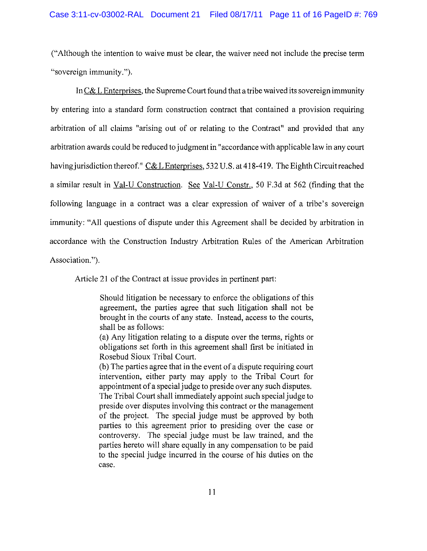("Although the intention to waive must be clear, the waiver need not include the precise term "sovereign immunity.").

In  $C&$  L Enterprises, the Supreme Court found that a tribe waived its sovereign immunity by entering into a standard form construction contract that contained a provision requiring arbitration of all claims "arising out of or relating to the Contract" and provided that any arbitration awards could be reduced to judgment in "accordance with applicable law in any court having jurisdiction thereof." C& L Enterprises, 532 U.S. at 418-419. The Eighth Circuit reached a similar result in Val-U Construction. See Val-U Constr., 50 F.3d at 562 (finding that the following language in a contract was a clear expression of waiver of a tribe's sovereign immunity: "All questions of dispute under this Agreement shall be decided by arbitration in accordance with the Construction Industry Arbitration Rules of the American Arbitration Association.").

Article 21 of the Contract at issue provides in pertinent part:

Should litigation be necessary to enforce the obligations of this agreement, the parties agree that such litigation shall not be brought in the courts of any state. Instead, access to the courts, shall be as follows:

(a) Any litigation relating to a dispute over the terms, rights or obligations set forth in this agreement shall first be initiated in Rosebud Sioux Tribal Court.

(b) The parties agree that in the event of a dispute requiring court intervention, either party may apply to the Tribal Court for appointment of a special judge to preside over any such disputes. The Tribal Court shall immediately appoint such special judge to preside over disputes involving this contract or the management of the project. The special judge must be approved by both parties to this agreement prior to presiding over the case or controversy. The special judge must be law trained, and the parties hereto will share equally in any compensation to be paid to the special judge incurred in the course of his duties on the case.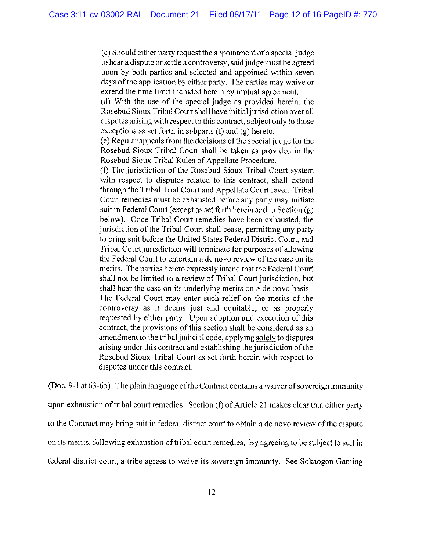(c) Should either party request the appointment of a special judge to hear a dispute or settle a controversy, said judge must be agreed upon by both parties and selected and appointed within seven days of the application by either party. The parties may waive or extend the time limit included herein by mutual agreement.

(d) With the use of the special judge as provided herein, the Rosebud Sioux Tribal Court shall have initial jurisdiction over all disputes arising with respect to this contract, subject only to those exceptions as set forth in subparts (f) and (g) hereto.

(e) Regular appeals from the decisions ofthe special judge for the Rosebud Sioux Tribal Court shall be taken as provided in the Rosebud Sioux Tribal Rules of Appellate Procedure.

(f) The jurisdiction of the Rosebud Sioux Tribal Court system with respect to disputes related to this contract, shall extend through the Tribal Trial Court and Appellate Court level. Tribal Court remedies must be exhausted before any party may initiate suit in Federal Court (except as set forth herein and in Section (g) below). Once Tribal Court remedies have been exhausted, the jurisdiction of the Tribal Court shall cease, permitting any party to bring suit before the United States Federal District Court, and Tribal Court jurisdiction will terminate for purposes of allowing the Federal Court to entertain a de novo review of the case on its merits. The parties hereto expressly intend that the Federal Court shall not be limited to a review of Tribal Court jurisdiction, but shall hear the case on its underlying merits on a de novo basis. The Federal Court may enter such relief on the merits of the controversy as it deems just and equitable, or as properly requested by either party. Upon adoption and execution of this contract, the provisions of this section shall be considered as an amendment to the tribal judicial code, applying solely to disputes arising under this contract and establishing the jurisdiction of the Rosebud Sioux Tribal Court as set forth herein with respect to disputes under this contract.

(Doc. 9-1 at  $63-65$ ). The plain language of the Contract contains a waiver of sovereign immunity upon exhaustion of tribal court remedies. Section  $(f)$  of Article 21 makes clear that either party to the Contract may bring suit in federal district court to obtain a de novo review of the dispute on its merits, following exhaustion of tribal court remedies. By agreeing to be subject to suit in federal district court, a tribe agrees to waive its sovereign immunity. See Sokaogon Gaming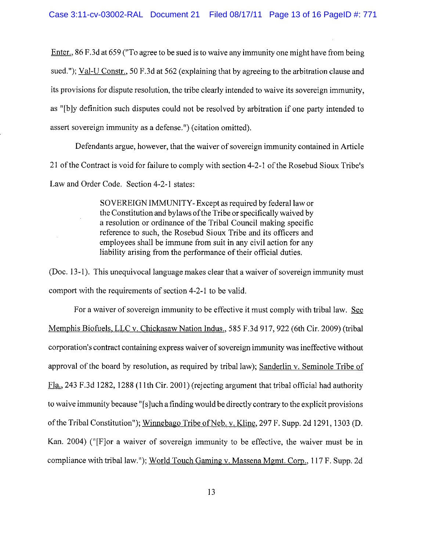Enter., 86 F.3d at 659 ("To agree to be sued is to waive any immunity one might have from being sued."); Val-U Constr., 50 F.3d at 562 (explaining that by agreeing to the arbitration clause and its provisions for dispute resolution, the tribe clearly intended to waive its sovereign immunity, as "[b]y definition such disputes could not be resolved by arbitration if one party intended to assert sovereign immunity as a defense. ") (citation omitted).

Defendants argue, however, that the waiver of sovereign immunity contained in Article 21 ofthe Contract is void for failure to comply with section 4-2-1 ofthe Rosebud Sioux Tribe's Law and Order Code. Section 4-2-1 states:

> SOVERElGN IMMUNITY-Except as required by federal law or the Constitution and bylaws ofthe Tribe or specifically waived by a resolution or ordinance of the Tribal Council making specific reference to such, the Rosebud Sioux Tribe and its officers and employees shall be immune from suit in any civil action for any liability arising from the performance of their official duties.

(Doc.  $13-1$ ). This unequivocal language makes clear that a waiver of sovereign immunity must comport with the requirements of section 4-2-1 to be valid.

For a waiver of sovereign immunity to be effective it must comply with tribal law. See Memphis Biofuels, LLC v. Chickasaw Nation Indus., 585 F.3d 917, 922 (6th Cir. 2009) (tribal corporation's contract containing express waiver of sovereign immunity was ineffective without approval of the board by resolution, as required by tribal law); Sanderlin v. Seminole Tribe of Fla., 243 F.3d 1282, 1288 (11th Cir. 2001) (rejecting argument that tribal official had authority to waive immunity because" [s]uch a finding would be directly contrary to the explicit provisions of the Tribal Constitution"); Winnebago Tribe of Neb. v. Kline, 297 F. Supp. 2d 1291, 1303 (D. Kan. 2004) ("[F]or a waiver of sovereign immunity to be effective, the waiver must be in compliance with tribal law."); World Touch Gaming v. Massena Mgmt. Corp., 117 F. Supp. 2d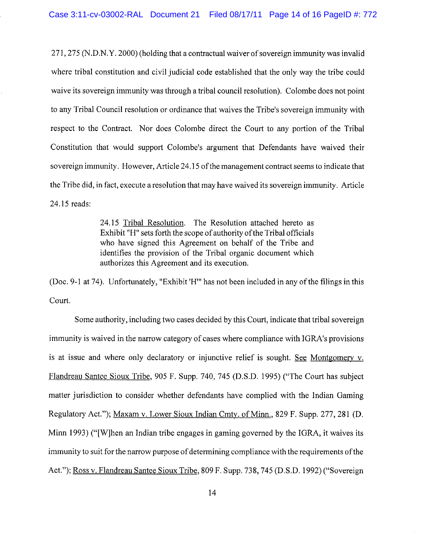$271,275$  (N.D.N.Y. 2000) (holding that a contractual waiver of sovereign immunity was invalid where tribal constitution and civil judicial code established that the only way the tribe could waive its sovereign immunity was through a tribal council resolution). Colombe does not point to any Tribal Council resolution or ordinance that waives the Tribe's sovereign immunity with respect to the Contract. Nor does Colombe direct the Court to any portion of the Tribal Constitution that would support Colombe's argument that Defendants have waived their sovereign immunity. However, Article 24.15 of the management contract seems to indicate that the Tribe did, in fact, execute a resolution that may have waived its sovereign immunity. Article 24.15 reads:

> 24.15 Tribal Resolution. The Resolution attached hereto as Exhibit "H" sets forth the scope of authority of the Tribal officials who have signed this Agreement on behalf of the Tribe and identifies the provision of the Tribal organic document which authorizes this Agreement and its execution.

(Doc. 9-1 at 74). Unfortunately, "Exhibit 'H'" has not been included in any of the filings in this Court.

Some authority, including two cases decided by this Court, indicate that tribal sovereign immunity is waived in the narrow category of cases where compliance with IGRA's provisions is at issue and where only declaratory or injunctive relief is sought. See Montgomery v. Flandreau Santee Sioux Tribe, 905 F. Supp. 740, 745 (D.S.D. 1995) ("The Court has subject matter jurisdiction to consider whether defendants have complied with the Indian Gaming Regulatory Act."); Maxam v. Lower Sioux Indian Cmty. of Minn., 829 F. Supp. 277,281 (D. Minn 1993) ("[W]hen an Indian tribe engages in gaming governed by the IGRA, it waives its immunity to suit for the narrow purpose of determining compliance with the requirements of the Act."); Ross v. Flandreau Santee Sioux Tribe, 809 F. Supp. 738, 745 (D.S.D. 1992) ("Sovereign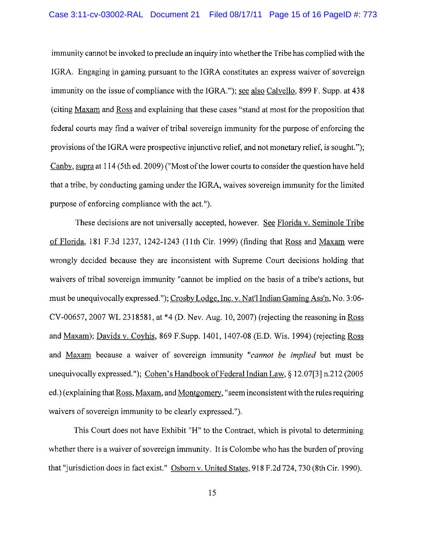immunity cannot be invoked to preclude an inquiry into whether the Tribe has complied with the IGRA. Engaging in gaming pursuant to the IGRA constitutes an express waiver of sovereign immunity on the issue of compliance with the IGRA."); see also Calvello, 899 F. Supp. at 438 (citing Maxam and Ross and explaining that these cases "stand at most for the proposition that federal courts may find a waiver of tribal sovereign immunity for the purpose of enforcing the provisions ofthe IGRA were prospective injunctive relief, and not monetary relief, is sought."); Canby, supra at 114 (5th ed. 2009) ("Most of the lower courts to consider the question have held that a tribe, by conducting gaming under the IGRA, waives sovereign immunity for the limited purpose of enforcing compliance with the act.").

These decisions are not universally accepted, however. See Florida v. Seminole Tribe of Florida, 181 F.3d 1237, 1242-1243 (11th Cir. 1999) (finding that Ross and Maxam were wrongly decided because they are inconsistent with Supreme Court decisions holding that waivers of tribal sovereign immunity "cannot be implied on the basis of a tribe's actions, but must be unequivocally expressed. "); Crosby Lodge, Inc. v. Nat'l Indian Gaming Ass'n, No.3 :06- CY-00657, 2007 WL 2318581, at \*4 (D. Nev. Aug. 10,2007) (rejecting the reasoning in Ross and Maxam); Davids v. Coyhis, 869 F.Supp. 1401, 1407-08 (E.D. Wis. 1994) (rejecting Ross and Maxam because a waiver of sovereign immunity *"cannot be implied* but must be unequivocally expressed."); Cohen's Handbook of Federal Indian Law,  $\S$  12.07[3] n.212 (2005 ed.) (explaining that Ross, Maxam, and Montgomery, "seem inconsistent with the rules requiring waivers of sovereign immunity to be clearly expressed.").

This Court does not have Exhibit "H" to the Contract, which is pivotal to determining whether there is a waiver of sovereign immunity. It is Colombe who has the burden of proving that "jurisdiction does in fact exist." Osborn v. United States, 918 F.2d 724, 730 (8th Cir. 1990).